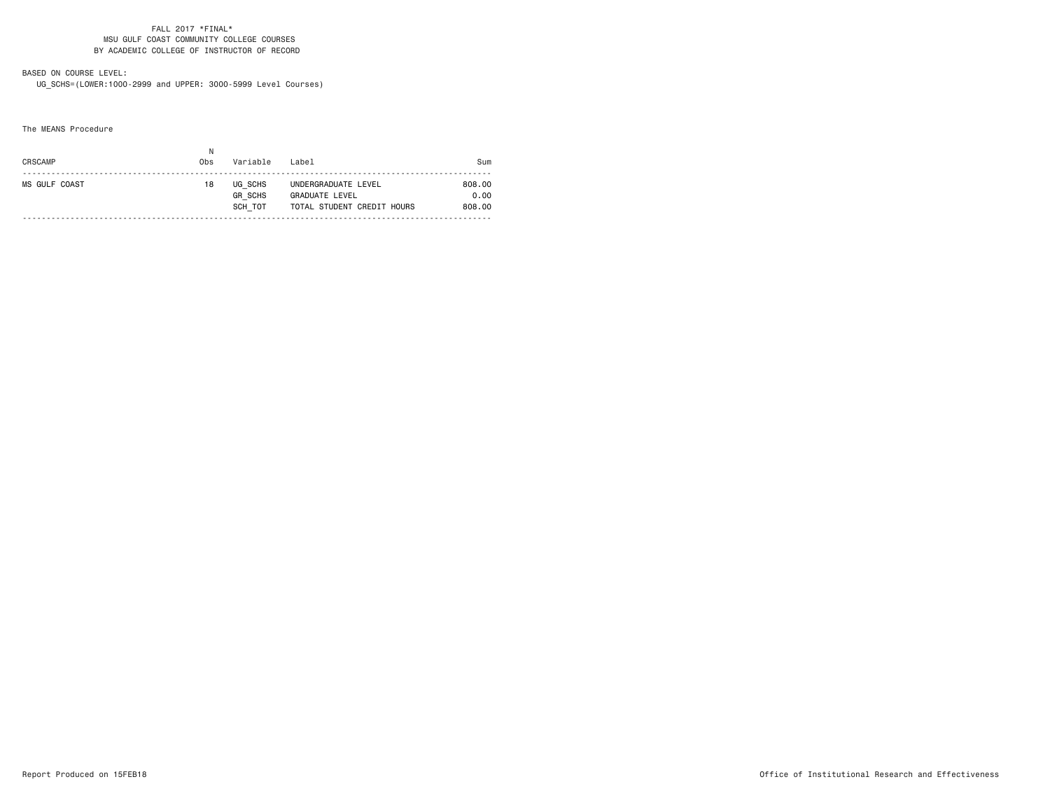## BASED ON COURSE LEVEL:

UG\_SCHS=(LOWER:1000-2999 and UPPER: 3000-5999 Level Courses)

The MEANS Procedure

| CRSCAMP              | Ν<br>0 <sub>bs</sub> | Variable                             | Label                                                               | Sum                      |
|----------------------|----------------------|--------------------------------------|---------------------------------------------------------------------|--------------------------|
| <b>MS GULF COAST</b> | 18                   | UG SCHS<br><b>GR SCHS</b><br>SCH TOT | UNDERGRADUATE LEVEL<br>GRADUATE LEVEL<br>TOTAL STUDENT CREDIT HOURS | 808.00<br>0.00<br>808.00 |
|                      |                      |                                      |                                                                     |                          |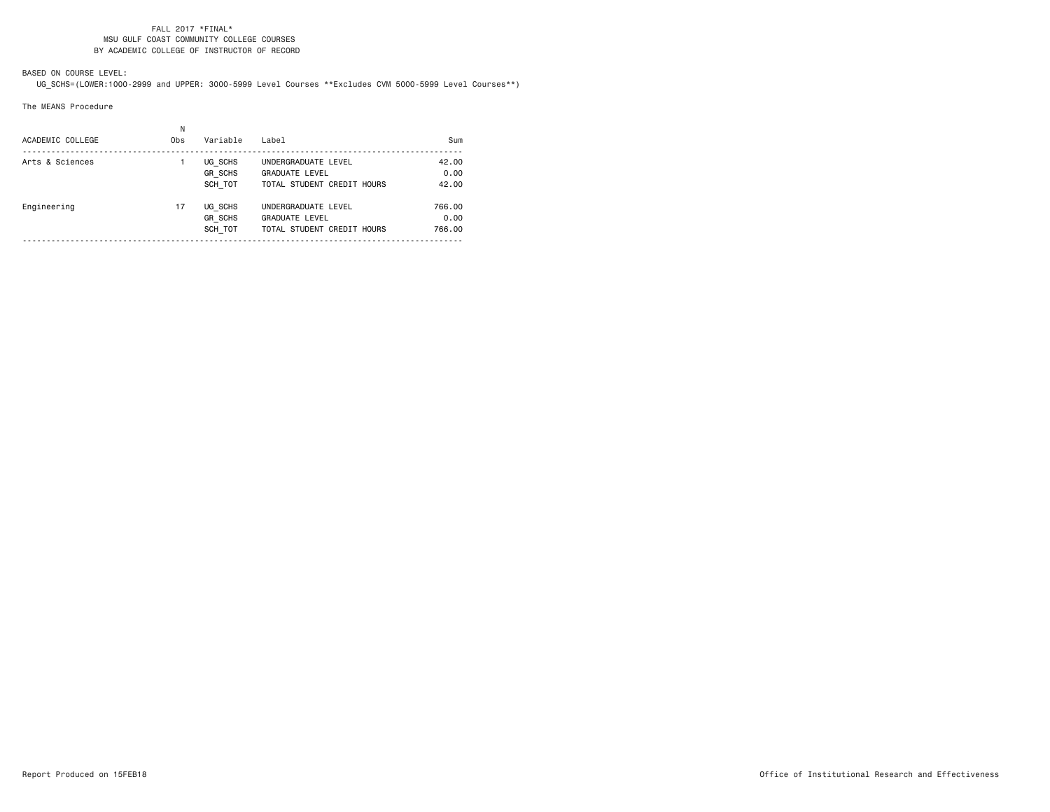## BASED ON COURSE LEVEL:

UG\_SCHS=(LOWER:1000-2999 and UPPER: 3000-5999 Level Courses \*\*Excludes CVM 5000-5999 Level Courses\*\*)

### The MEANS Procedure

| ACADEMIC COLLEGE | Ν<br>0 <sub>bs</sub> | Variable                             | Label                                                                      | Sum                      |
|------------------|----------------------|--------------------------------------|----------------------------------------------------------------------------|--------------------------|
| Arts & Sciences  |                      | UG SCHS<br><b>GR SCHS</b><br>SCH TOT | UNDERGRADUATE LEVEL<br><b>GRADUATE LEVEL</b><br>TOTAL STUDENT CREDIT HOURS | 42.00<br>0.00<br>42.00   |
| Engineering      | 17                   | UG SCHS<br><b>GR SCHS</b><br>SCH TOT | UNDERGRADUATE LEVEL<br><b>GRADUATE LEVEL</b><br>TOTAL STUDENT CREDIT HOURS | 766.00<br>0.00<br>766.00 |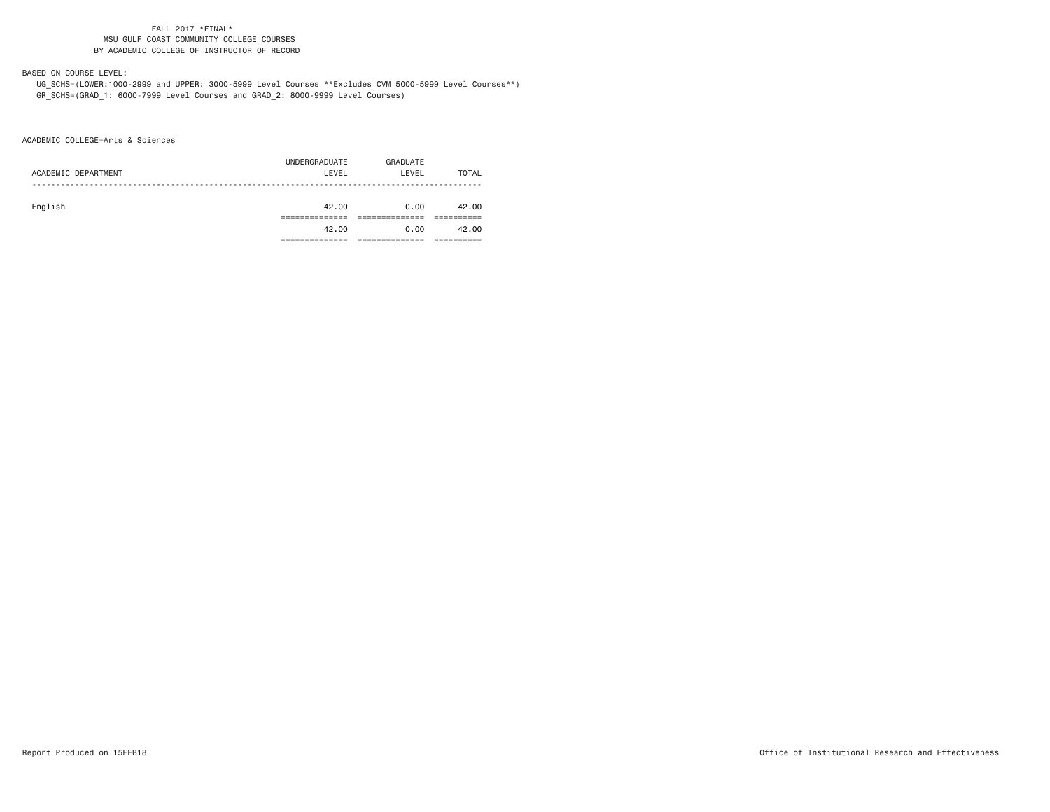# BASED ON COURSE LEVEL:

 UG\_SCHS=(LOWER:1000-2999 and UPPER: 3000-5999 Level Courses \*\*Excludes CVM 5000-5999 Level Courses\*\*) GR\_SCHS=(GRAD\_1: 6000-7999 Level Courses and GRAD\_2: 8000-9999 Level Courses)

ACADEMIC COLLEGE=Arts & Sciences

|                     | UNDERGRADUATE | GRADUATE |       |
|---------------------|---------------|----------|-------|
| ACADEMIC DEPARTMENT | LEVEL         | LEVEL    | TOTAL |
|                     |               |          |       |
|                     |               |          |       |
| English             | 42.00         | 0.00     | 42.00 |
|                     |               |          |       |
|                     | 42.00         | 0.00     | 42.00 |
|                     |               |          |       |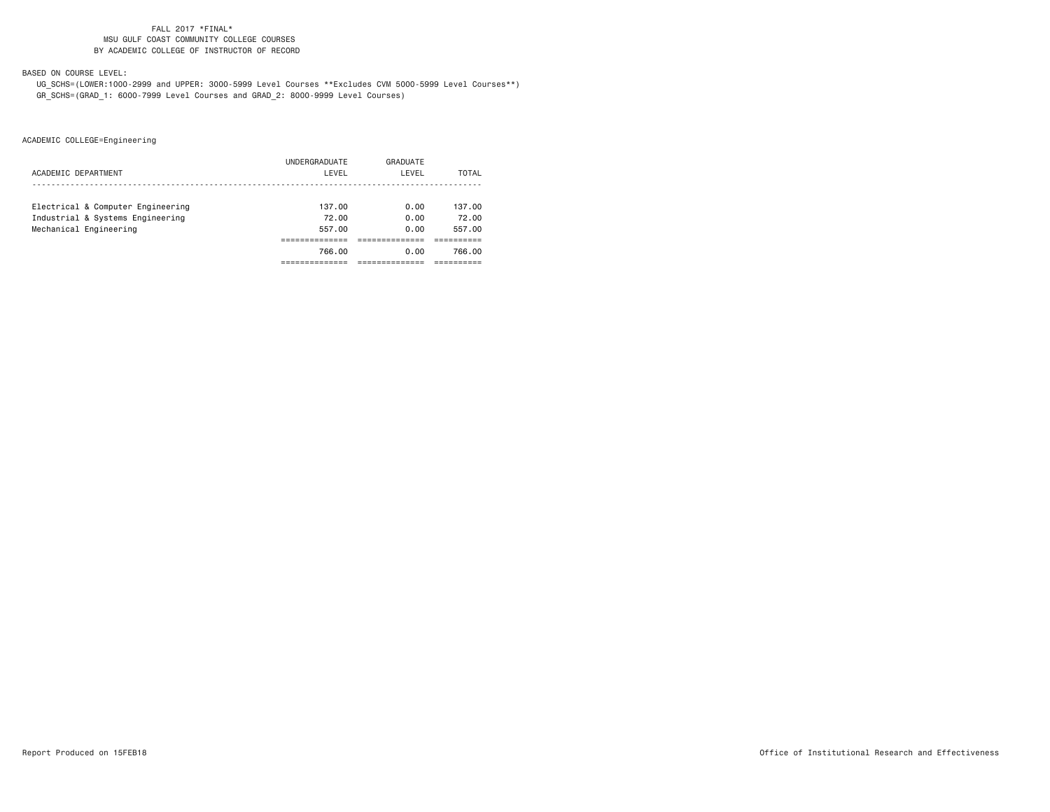## BASED ON COURSE LEVEL:

 UG\_SCHS=(LOWER:1000-2999 and UPPER: 3000-5999 Level Courses \*\*Excludes CVM 5000-5999 Level Courses\*\*) GR\_SCHS=(GRAD\_1: 6000-7999 Level Courses and GRAD\_2: 8000-9999 Level Courses)

|                                   | UNDERGRADUATE | GRADUATE |        |
|-----------------------------------|---------------|----------|--------|
| ACADEMIC DEPARTMENT               | LEVEL         | LEVEL    | TOTAL  |
|                                   |               |          |        |
| Electrical & Computer Engineering | 137.00        | 0.00     | 137.00 |
| Industrial & Systems Engineering  | 72.00         | 0.00     | 72.00  |
| Mechanical Engineering            | 557.00        | 0.00     | 557.00 |
|                                   |               |          |        |
|                                   | 766.00        | 0.00     | 766.00 |
|                                   |               |          |        |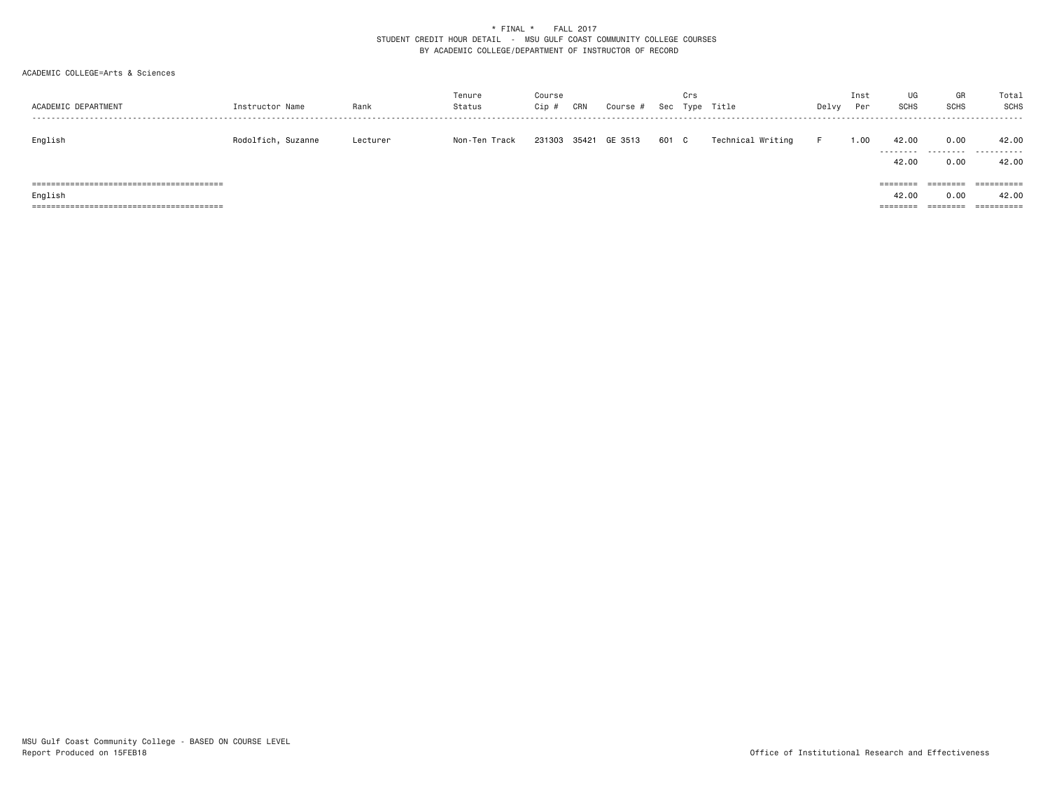## ACADEMIC COLLEGE=Arts & Sciences

| ACADEMIC DEPARTMENT | Instructor Name    | Rank     | Tenure<br>Status | Course<br>Cip # | CRN   | Course # | Sec   | Crs | Type Title        | Delvy | Inst<br>Per | UG<br><b>SCHS</b>             | GR<br>SCHS                   | Total<br>SCHS                     |
|---------------------|--------------------|----------|------------------|-----------------|-------|----------|-------|-----|-------------------|-------|-------------|-------------------------------|------------------------------|-----------------------------------|
| English             | Rodolfich, Suzanne | Lecturer | Non-Ten Track    | 231303          | 35421 | GE 3513  | 601 C |     | Technical Writing | F.    | 1.00        | 42.00<br>.<br>42.00           | 0.00<br>0.00                 | 42.00<br>.<br>42.00               |
| English             |                    |          |                  |                 |       |          |       |     |                   |       |             | ========<br>42.00<br>======== | ========<br>0.00<br>======== | ==========<br>42.00<br>========== |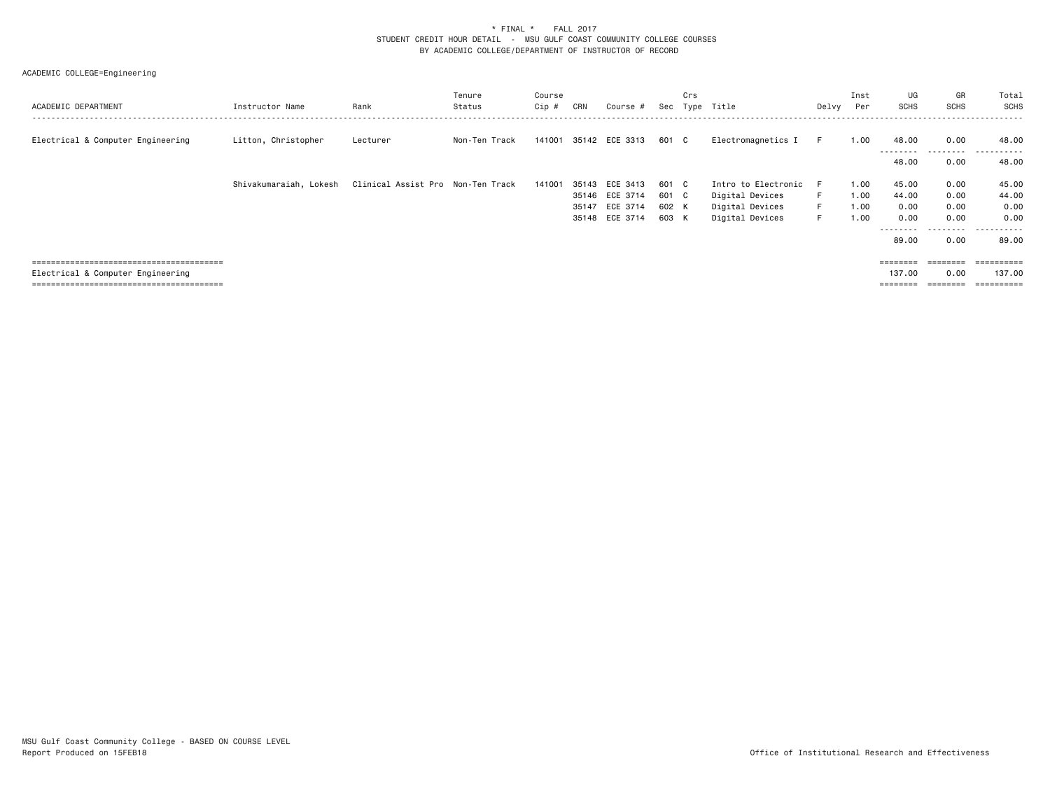| ACADEMIC DEPARTMENT               | Instructor Name        | Rank                              | Tenure<br>Status | Course<br>$Cip$ # | CRN | Course #       |       | Crs | Sec Type Title      | Delvy | Inst<br>Per | UG<br><b>SCHS</b> | GR<br><b>SCHS</b> | Total<br>SCHS    |
|-----------------------------------|------------------------|-----------------------------------|------------------|-------------------|-----|----------------|-------|-----|---------------------|-------|-------------|-------------------|-------------------|------------------|
| Electrical & Computer Engineering | Litton, Christopher    | Lecturer                          | Non-Ten Track    | 141001            |     | 35142 ECE 3313 | 601 C |     | Electromagnetics I  | F.    | 1.00        | 48.00<br>-------- | 0.00              | 48.00<br>------- |
|                                   |                        |                                   |                  |                   |     |                |       |     |                     |       |             | 48.00             | 0.00              | 48.00            |
|                                   | Shivakumaraiah, Lokesh | Clinical Assist Pro Non-Ten Track |                  | 141001            |     | 35143 ECE 3413 | 601 C |     | Intro to Electronic | -F    | 1.00        | 45.00             | 0.00              | 45.00            |
|                                   |                        |                                   |                  |                   |     | 35146 ECE 3714 | 601 C |     | Digital Devices     | F.    | 1.00        | 44.00             | 0.00              | 44.00            |
|                                   |                        |                                   |                  |                   |     | 35147 ECE 3714 | 602 K |     | Digital Devices     | F.    | 1.00        | 0.00              | 0.00              | 0.00             |
|                                   |                        |                                   |                  |                   |     | 35148 ECE 3714 | 603 K |     | Digital Devices     | F.    | 1.00        | 0.00              | 0.00              | 0.00             |
|                                   |                        |                                   |                  |                   |     |                |       |     |                     |       |             | --------          | ---------         | .                |
|                                   |                        |                                   |                  |                   |     |                |       |     |                     |       |             | 89.00             | 0.00              | 89.00            |
|                                   |                        |                                   |                  |                   |     |                |       |     |                     |       |             |                   |                   |                  |
|                                   |                        |                                   |                  |                   |     |                |       |     |                     |       |             |                   | ========          | -----------      |
| Electrical & Computer Engineering |                        |                                   |                  |                   |     |                |       |     |                     |       |             | 137.00            | 0.00              | 137.00           |
|                                   |                        |                                   |                  |                   |     |                |       |     |                     |       |             | $=$ = = = = = = = |                   | ==========       |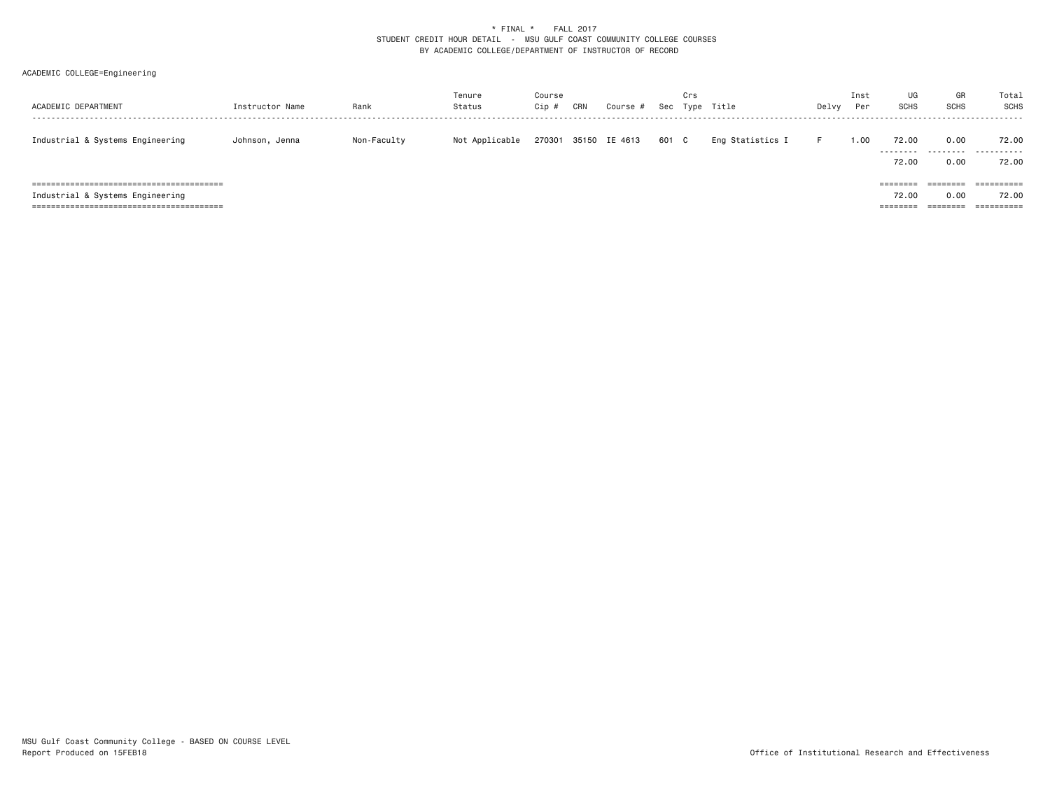| ACADEMIC DEPARTMENT              | Instructor Name | Rank        | Tenure<br>Status | Course<br>Cip # | CRN | Course #             | Sec   | Crs | Type Title       | Delvy | Inst<br>Per | UG<br>SCHS                    | GR<br><b>SCHS</b>                   | Total<br>SCHS                     |
|----------------------------------|-----------------|-------------|------------------|-----------------|-----|----------------------|-------|-----|------------------|-------|-------------|-------------------------------|-------------------------------------|-----------------------------------|
| Industrial & Systems Engineering | Johnson, Jenna  | Non-Faculty | Not Applicable   |                 |     | 270301 35150 IE 4613 | 601 C |     | Eng Statistics I | н.    | .00.        | 72.00<br>---------<br>72.00   | 0.00<br>.<br>0.00                   | 72.00<br>.<br>72.00               |
| Industrial & Systems Engineering |                 |             |                  |                 |     |                      |       |     |                  |       |             | ========<br>72.00<br>======== | ========<br>0.00<br><b>ESSESSES</b> | ==========<br>72.00<br>========== |